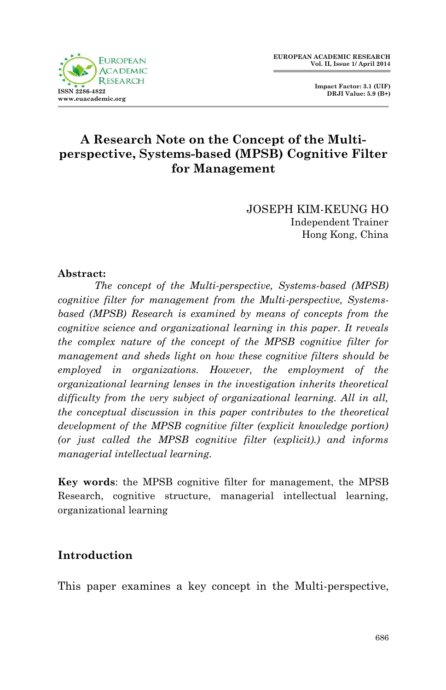

 **Impact Factor: 3.1 (UIF) DRJI Value: 5.9 (B+)**

# **A Research Note on the Concept of the Multiperspective, Systems-based (MPSB) Cognitive Filter for Management**

JOSEPH KIM-KEUNG HO Independent Trainer Hong Kong, China

#### **Abstract:**

*The concept of the Multi-perspective, Systems-based (MPSB) cognitive filter for management from the Multi-perspective, Systemsbased (MPSB) Research is examined by means of concepts from the cognitive science and organizational learning in this paper. It reveals the complex nature of the concept of the MPSB cognitive filter for management and sheds light on how these cognitive filters should be employed in organizations. However, the employment of the organizational learning lenses in the investigation inherits theoretical difficulty from the very subject of organizational learning. All in all, the conceptual discussion in this paper contributes to the theoretical development of the MPSB cognitive filter (explicit knowledge portion) (or just called the MPSB cognitive filter (explicit).) and informs managerial intellectual learning.*

**Key words**: the MPSB cognitive filter for management, the MPSB Research, cognitive structure, managerial intellectual learning, organizational learning

### **Introduction**

This paper examines a key concept in the Multi-perspective,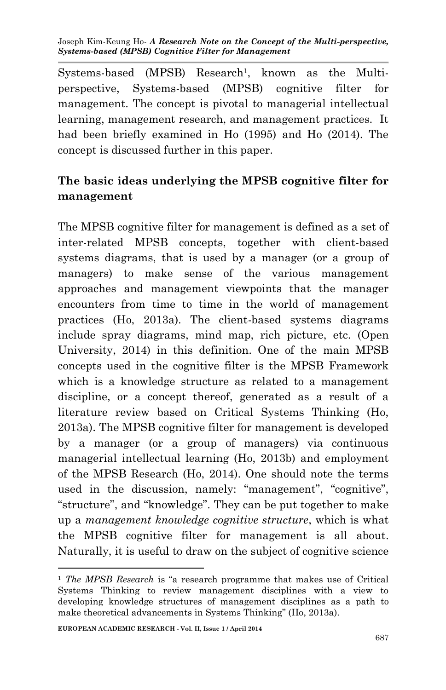Systems-based (MPSB) Research<sup>1</sup>, known as the Multiperspective, Systems-based (MPSB) cognitive filter for management. The concept is pivotal to managerial intellectual learning, management research, and management practices. It had been briefly examined in Ho (1995) and Ho (2014). The concept is discussed further in this paper.

# **The basic ideas underlying the MPSB cognitive filter for management**

The MPSB cognitive filter for management is defined as a set of inter-related MPSB concepts, together with client-based systems diagrams, that is used by a manager (or a group of managers) to make sense of the various management approaches and management viewpoints that the manager encounters from time to time in the world of management practices (Ho, 2013a). The client-based systems diagrams include spray diagrams, mind map, rich picture, etc. (Open University, 2014) in this definition. One of the main MPSB concepts used in the cognitive filter is the MPSB Framework which is a knowledge structure as related to a management discipline, or a concept thereof, generated as a result of a literature review based on Critical Systems Thinking (Ho, 2013a). The MPSB cognitive filter for management is developed by a manager (or a group of managers) via continuous managerial intellectual learning (Ho, 2013b) and employment of the MPSB Research (Ho, 2014). One should note the terms used in the discussion, namely: "management", "cognitive", "structure", and "knowledge". They can be put together to make up a *management knowledge cognitive structure*, which is what the MPSB cognitive filter for management is all about. Naturally, it is useful to draw on the subject of cognitive science

**.** 

<sup>1</sup> *The MPSB Research* is "a research programme that makes use of Critical Systems Thinking to review management disciplines with a view to developing knowledge structures of management disciplines as a path to make theoretical advancements in Systems Thinking" (Ho, 2013a).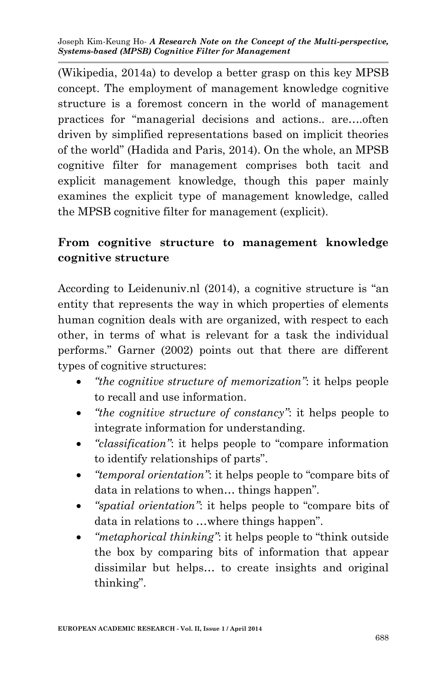(Wikipedia, 2014a) to develop a better grasp on this key MPSB concept. The employment of management knowledge cognitive structure is a foremost concern in the world of management practices for "managerial decisions and actions.. are….often driven by simplified representations based on implicit theories of the world" (Hadida and Paris, 2014). On the whole, an MPSB cognitive filter for management comprises both tacit and explicit management knowledge, though this paper mainly examines the explicit type of management knowledge, called the MPSB cognitive filter for management (explicit).

## **From cognitive structure to management knowledge cognitive structure**

According to Leidenuniv.nl (2014), a cognitive structure is "an entity that represents the way in which properties of elements human cognition deals with are organized, with respect to each other, in terms of what is relevant for a task the individual performs." Garner (2002) points out that there are different types of cognitive structures:

- *"the cognitive structure of memorization"*: it helps people to recall and use information.
- *"the cognitive structure of constancy"*: it helps people to integrate information for understanding.
- *"classification"*: it helps people to "compare information to identify relationships of parts".
- *"temporal orientation"*: it helps people to "compare bits of data in relations to when… things happen".
- *"spatial orientation"*: it helps people to "compare bits of data in relations to …where things happen".
- *"metaphorical thinking"*: it helps people to "think outside the box by comparing bits of information that appear dissimilar but helps… to create insights and original thinking".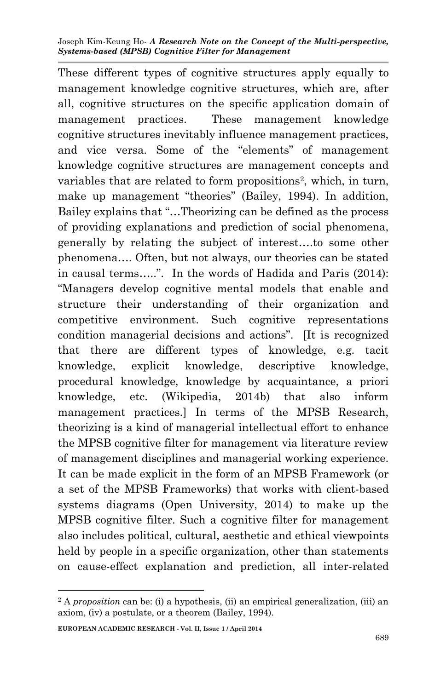These different types of cognitive structures apply equally to management knowledge cognitive structures, which are, after all, cognitive structures on the specific application domain of management practices. These management knowledge cognitive structures inevitably influence management practices, and vice versa. Some of the "elements" of management knowledge cognitive structures are management concepts and variables that are related to form propositions<sup>2</sup>, which, in turn, make up management "theories" (Bailey, 1994). In addition, Bailey explains that "…Theorizing can be defined as the process of providing explanations and prediction of social phenomena, generally by relating the subject of interest….to some other phenomena…. Often, but not always, our theories can be stated in causal terms…..". In the words of Hadida and Paris (2014): "Managers develop cognitive mental models that enable and structure their understanding of their organization and competitive environment. Such cognitive representations condition managerial decisions and actions". [It is recognized that there are different types of knowledge, e.g. tacit knowledge, explicit knowledge, descriptive knowledge, procedural knowledge, knowledge by acquaintance, a priori knowledge, etc. (Wikipedia, 2014b) that also inform management practices.] In terms of the MPSB Research, theorizing is a kind of managerial intellectual effort to enhance the MPSB cognitive filter for management via literature review of management disciplines and managerial working experience. It can be made explicit in the form of an MPSB Framework (or a set of the MPSB Frameworks) that works with client-based systems diagrams (Open University, 2014) to make up the MPSB cognitive filter. Such a cognitive filter for management also includes political, cultural, aesthetic and ethical viewpoints held by people in a specific organization, other than statements on cause-effect explanation and prediction, all inter-related

1

<sup>2</sup> A *proposition* can be: (i) a hypothesis, (ii) an empirical generalization, (iii) an axiom, (iv) a postulate, or a theorem (Bailey, 1994).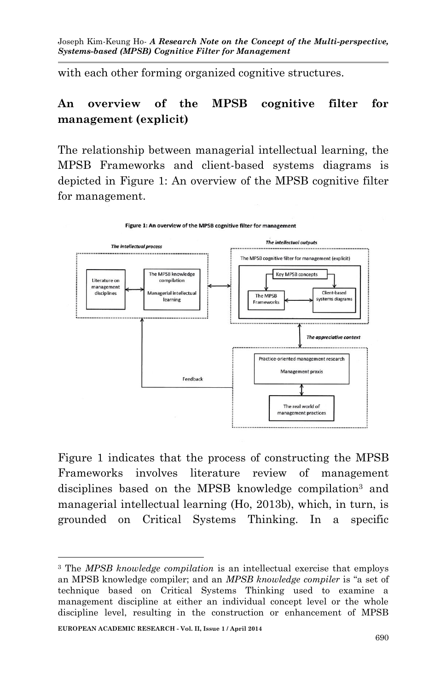with each other forming organized cognitive structures.

## **An overview of the MPSB cognitive filter for management (explicit)**

The relationship between managerial intellectual learning, the MPSB Frameworks and client-based systems diagrams is depicted in Figure 1: An overview of the MPSB cognitive filter for management.



Figure 1: An overview of the MPSB cognitive filter for management

Figure 1 indicates that the process of constructing the MPSB Frameworks involves literature review of management disciplines based on the MPSB knowledge compilation<sup>3</sup> and managerial intellectual learning (Ho, 2013b), which, in turn, is grounded on Critical Systems Thinking. In a specific

**<sup>.</sup>** <sup>3</sup> The *MPSB knowledge compilation* is an intellectual exercise that employs an MPSB knowledge compiler; and an *MPSB knowledge compiler* is "a set of technique based on Critical Systems Thinking used to examine a management discipline at either an individual concept level or the whole discipline level, resulting in the construction or enhancement of MPSB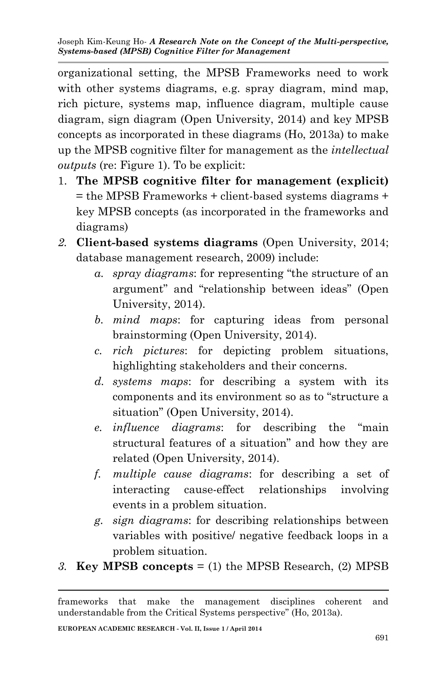organizational setting, the MPSB Frameworks need to work with other systems diagrams, e.g. spray diagram, mind map, rich picture, systems map, influence diagram, multiple cause diagram, sign diagram (Open University, 2014) and key MPSB concepts as incorporated in these diagrams (Ho, 2013a) to make up the MPSB cognitive filter for management as the *intellectual outputs* (re: Figure 1). To be explicit:

- 1. **The MPSB cognitive filter for management (explicit)**  $=$  the MPSB Frameworks  $+$  client-based systems diagrams  $+$ key MPSB concepts (as incorporated in the frameworks and diagrams)
- *2.* **Client-based systems diagrams** (Open University, 2014; database management research, 2009) include:
	- *a. spray diagrams*: for representing "the structure of an argument" and "relationship between ideas" (Open University, 2014).
	- *b. mind maps*: for capturing ideas from personal brainstorming (Open University, 2014).
	- *c. rich pictures*: for depicting problem situations, highlighting stakeholders and their concerns.
	- *d. systems maps*: for describing a system with its components and its environment so as to "structure a situation" (Open University, 2014).
	- *e. influence diagrams*: for describing the "main structural features of a situation" and how they are related (Open University, 2014).
	- *f. multiple cause diagrams*: for describing a set of interacting cause-effect relationships involving events in a problem situation.
	- *g. sign diagrams*: for describing relationships between variables with positive/ negative feedback loops in a problem situation.
- *3.* **Key MPSB concepts** = (1) the MPSB Research, (2) MPSB

1

frameworks that make the management disciplines coherent and understandable from the Critical Systems perspective" (Ho, 2013a).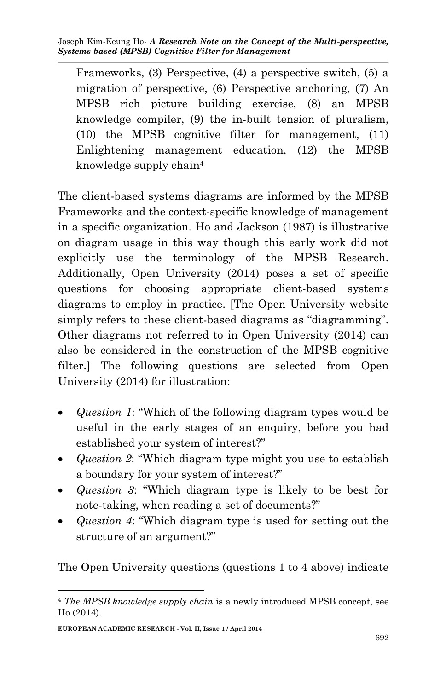Frameworks, (3) Perspective, (4) a perspective switch, (5) a migration of perspective, (6) Perspective anchoring, (7) An MPSB rich picture building exercise, (8) an MPSB knowledge compiler, (9) the in-built tension of pluralism, (10) the MPSB cognitive filter for management, (11) Enlightening management education, (12) the MPSB knowledge supply chain<sup>4</sup>

The client-based systems diagrams are informed by the MPSB Frameworks and the context-specific knowledge of management in a specific organization. Ho and Jackson (1987) is illustrative on diagram usage in this way though this early work did not explicitly use the terminology of the MPSB Research. Additionally, Open University (2014) poses a set of specific questions for choosing appropriate client-based systems diagrams to employ in practice. [The Open University website simply refers to these client-based diagrams as "diagramming". Other diagrams not referred to in Open University (2014) can also be considered in the construction of the MPSB cognitive filter.] The following questions are selected from Open University (2014) for illustration:

- *Question 1*: "Which of the following diagram types would be useful in the early stages of an enquiry, before you had established your system of interest?"
- *Question 2*: "Which diagram type might you use to establish a boundary for your system of interest?"
- *Question 3*: "Which diagram type is likely to be best for note-taking, when reading a set of documents?"
- *Question 4*: "Which diagram type is used for setting out the structure of an argument?"

The Open University questions (questions 1 to 4 above) indicate

<sup>1</sup> <sup>4</sup> *The MPSB knowledge supply chain* is a newly introduced MPSB concept, see Ho (2014).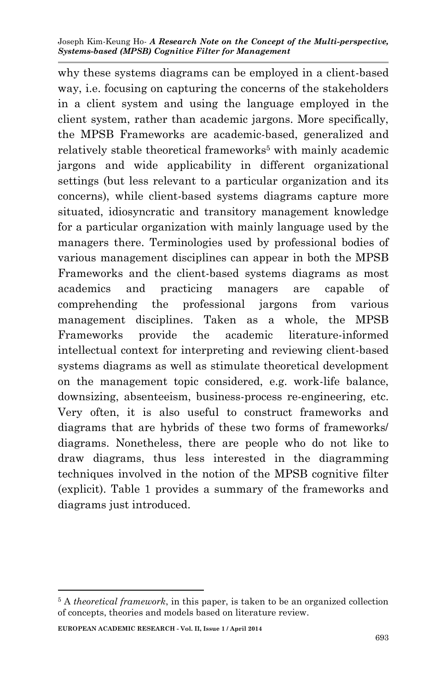why these systems diagrams can be employed in a client-based way, i.e. focusing on capturing the concerns of the stakeholders in a client system and using the language employed in the client system, rather than academic jargons. More specifically, the MPSB Frameworks are academic-based, generalized and relatively stable theoretical frameworks<sup>5</sup> with mainly academic jargons and wide applicability in different organizational settings (but less relevant to a particular organization and its concerns), while client-based systems diagrams capture more situated, idiosyncratic and transitory management knowledge for a particular organization with mainly language used by the managers there. Terminologies used by professional bodies of various management disciplines can appear in both the MPSB Frameworks and the client-based systems diagrams as most academics and practicing managers are capable of comprehending the professional jargons from various management disciplines. Taken as a whole, the MPSB Frameworks provide the academic literature-informed intellectual context for interpreting and reviewing client-based systems diagrams as well as stimulate theoretical development on the management topic considered, e.g. work-life balance, downsizing, absenteeism, business-process re-engineering, etc. Very often, it is also useful to construct frameworks and diagrams that are hybrids of these two forms of frameworks/ diagrams. Nonetheless, there are people who do not like to draw diagrams, thus less interested in the diagramming techniques involved in the notion of the MPSB cognitive filter (explicit). Table 1 provides a summary of the frameworks and diagrams just introduced.

**EUROPEAN ACADEMIC RESEARCH - Vol. II, Issue 1 / April 2014**

1

<sup>5</sup> A *theoretical framework*, in this paper, is taken to be an organized collection of concepts, theories and models based on literature review.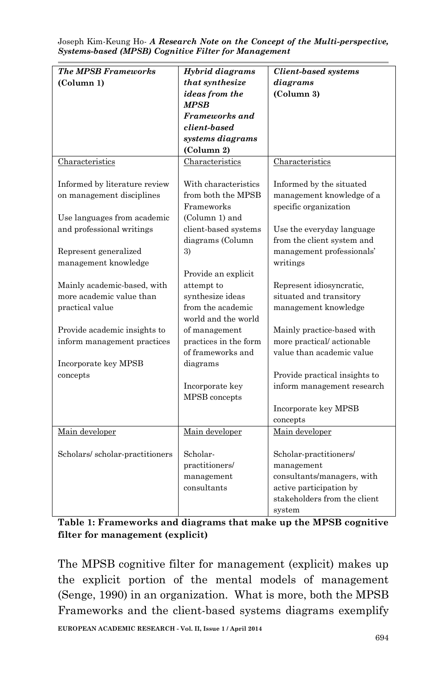| <b>The MPSB Frameworks</b>     | Hybrid diagrams       | <b>Client-based systems</b>   |
|--------------------------------|-----------------------|-------------------------------|
| (Column 1)                     | that synthesize       | diagrams                      |
|                                | ideas from the        | (Column 3)                    |
|                                | <b>MPSB</b>           |                               |
|                                | Frameworks and        |                               |
|                                | client-based          |                               |
|                                | systems diagrams      |                               |
|                                | (Column 2)            |                               |
| Characteristics                | Characteristics       | Characteristics               |
|                                |                       |                               |
| Informed by literature review  | With characteristics  | Informed by the situated      |
| on management disciplines      | from both the MPSB    | management knowledge of a     |
|                                | Frameworks            | specific organization         |
| Use languages from academic    | (Column 1) and        |                               |
| and professional writings      | client-based systems  | Use the everyday language     |
|                                | diagrams (Column      | from the client system and    |
| Represent generalized          | 3)                    | management professionals'     |
| management knowledge           |                       | writings                      |
|                                | Provide an explicit   |                               |
| Mainly academic-based, with    | attempt to            | Represent idiosyncratic,      |
| more academic value than       | synthesize ideas      | situated and transitory       |
| practical value                | from the academic     | management knowledge          |
|                                | world and the world   |                               |
| Provide academic insights to   | of management         | Mainly practice-based with    |
| inform management practices    | practices in the form | more practical/actionable     |
|                                | of frameworks and     | value than academic value     |
| Incorporate key MPSB           | diagrams              |                               |
| concepts                       |                       | Provide practical insights to |
|                                | Incorporate key       | inform management research    |
|                                | MPSB concepts         |                               |
|                                |                       | Incorporate key MPSB          |
|                                |                       | concepts                      |
| Main developer                 | Main developer        | Main developer                |
|                                |                       |                               |
| Scholars/scholar-practitioners | Scholar-              | Scholar-practitioners/        |
|                                | practitioners/        | management                    |
|                                | management            | consultants/managers, with    |
|                                | consultants           | active participation by       |
|                                |                       | stakeholders from the client  |
|                                |                       | system                        |

**Table 1: Frameworks and diagrams that make up the MPSB cognitive filter for management (explicit)**

The MPSB cognitive filter for management (explicit) makes up the explicit portion of the mental models of management (Senge, 1990) in an organization. What is more, both the MPSB Frameworks and the client-based systems diagrams exemplify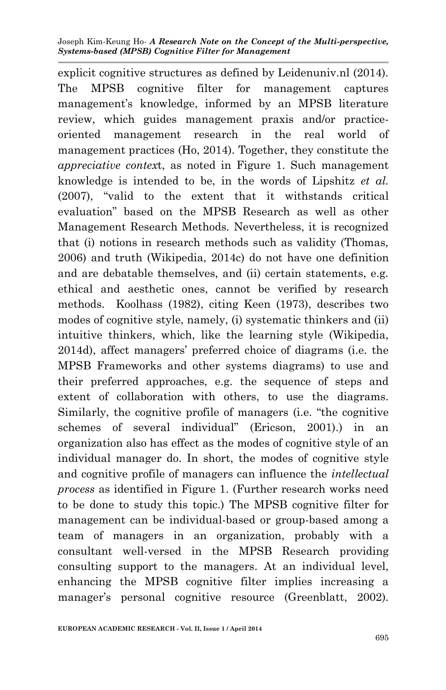explicit cognitive structures as defined by Leidenuniv.nl (2014). The MPSB cognitive filter for management captures management's knowledge, informed by an MPSB literature review, which guides management praxis and/or practiceoriented management research in the real world of management practices (Ho, 2014). Together, they constitute the *appreciative contex*t, as noted in Figure 1. Such management knowledge is intended to be, in the words of Lipshitz *et al.* (2007), "valid to the extent that it withstands critical evaluation" based on the MPSB Research as well as other Management Research Methods. Nevertheless, it is recognized that (i) notions in research methods such as validity (Thomas, 2006) and truth (Wikipedia, 2014c) do not have one definition and are debatable themselves, and (ii) certain statements, e.g. ethical and aesthetic ones, cannot be verified by research methods. Koolhass (1982), citing Keen (1973), describes two modes of cognitive style, namely, (i) systematic thinkers and (ii) intuitive thinkers, which, like the learning style (Wikipedia, 2014d), affect managers' preferred choice of diagrams (i.e. the MPSB Frameworks and other systems diagrams) to use and their preferred approaches, e.g. the sequence of steps and extent of collaboration with others, to use the diagrams. Similarly, the cognitive profile of managers (i.e. "the cognitive schemes of several individual" (Ericson, 2001).) in an organization also has effect as the modes of cognitive style of an individual manager do. In short, the modes of cognitive style and cognitive profile of managers can influence the *intellectual process* as identified in Figure 1. (Further research works need to be done to study this topic.) The MPSB cognitive filter for management can be individual-based or group-based among a team of managers in an organization, probably with a consultant well-versed in the MPSB Research providing consulting support to the managers. At an individual level, enhancing the MPSB cognitive filter implies increasing a manager's personal cognitive resource (Greenblatt, 2002).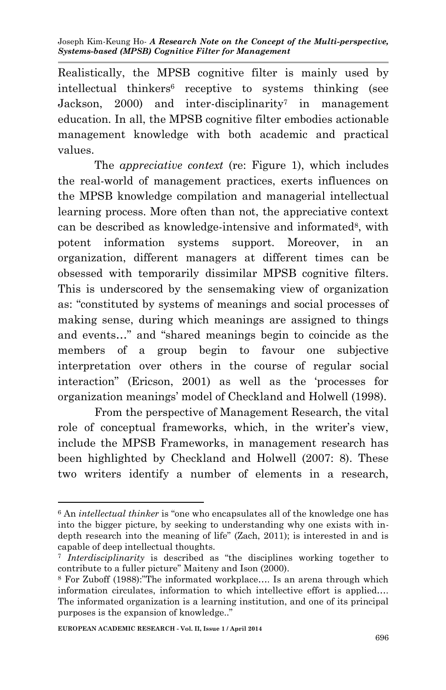Realistically, the MPSB cognitive filter is mainly used by intellectual thinkers<sup>6</sup> receptive to systems thinking (see Jackson, 2000) and inter-disciplinarity<sup>7</sup> in management education. In all, the MPSB cognitive filter embodies actionable management knowledge with both academic and practical values.

The *appreciative context* (re: Figure 1), which includes the real-world of management practices, exerts influences on the MPSB knowledge compilation and managerial intellectual learning process. More often than not, the appreciative context can be described as knowledge-intensive and informated<sup>8</sup>, with potent information systems support. Moreover, in an organization, different managers at different times can be obsessed with temporarily dissimilar MPSB cognitive filters. This is underscored by the sensemaking view of organization as: "constituted by systems of meanings and social processes of making sense, during which meanings are assigned to things and events…" and "shared meanings begin to coincide as the members of a group begin to favour one subjective interpretation over others in the course of regular social interaction" (Ericson, 2001) as well as the 'processes for organization meanings' model of Checkland and Holwell (1998).

From the perspective of Management Research, the vital role of conceptual frameworks, which, in the writer's view, include the MPSB Frameworks, in management research has been highlighted by Checkland and Holwell (2007: 8). These two writers identify a number of elements in a research,

-

<sup>6</sup> An *intellectual thinker* is "one who encapsulates all of the knowledge one has into the bigger picture, by seeking to understanding why one exists with indepth research into the meaning of life" (Zach, 2011); is interested in and is capable of deep intellectual thoughts.

<sup>7</sup> *Interdisciplinarity* is described as "the disciplines working together to contribute to a fuller picture" Maiteny and Ison (2000).

<sup>8</sup> For Zuboff (1988):"The informated workplace…. Is an arena through which information circulates, information to which intellective effort is applied…. The informated organization is a learning institution, and one of its principal purposes is the expansion of knowledge.."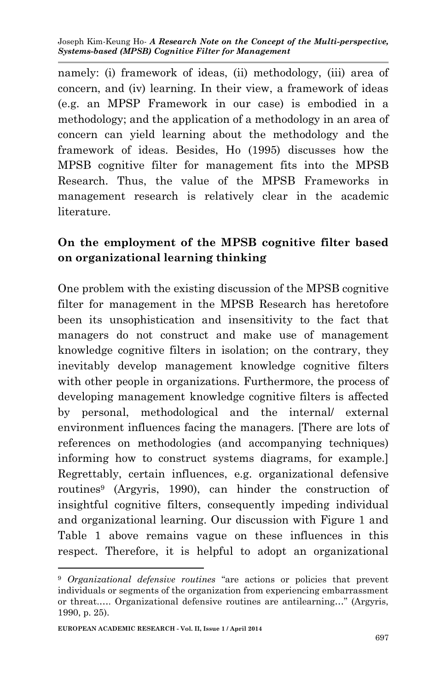namely: (i) framework of ideas, (ii) methodology, (iii) area of concern, and (iv) learning. In their view, a framework of ideas (e.g. an MPSP Framework in our case) is embodied in a methodology; and the application of a methodology in an area of concern can yield learning about the methodology and the framework of ideas. Besides, Ho (1995) discusses how the MPSB cognitive filter for management fits into the MPSB Research. Thus, the value of the MPSB Frameworks in management research is relatively clear in the academic literature.

## **On the employment of the MPSB cognitive filter based on organizational learning thinking**

One problem with the existing discussion of the MPSB cognitive filter for management in the MPSB Research has heretofore been its unsophistication and insensitivity to the fact that managers do not construct and make use of management knowledge cognitive filters in isolation; on the contrary, they inevitably develop management knowledge cognitive filters with other people in organizations. Furthermore, the process of developing management knowledge cognitive filters is affected by personal, methodological and the internal/ external environment influences facing the managers. [There are lots of references on methodologies (and accompanying techniques) informing how to construct systems diagrams, for example.] Regrettably, certain influences, e.g. organizational defensive routines<sup>9</sup> (Argyris, 1990), can hinder the construction of insightful cognitive filters, consequently impeding individual and organizational learning. Our discussion with Figure 1 and Table 1 above remains vague on these influences in this respect. Therefore, it is helpful to adopt an organizational

**.** 

<sup>9</sup> *Organizational defensive routines* "are actions or policies that prevent individuals or segments of the organization from experiencing embarrassment or threat.…. Organizational defensive routines are antilearning…" (Argyris, 1990, p. 25).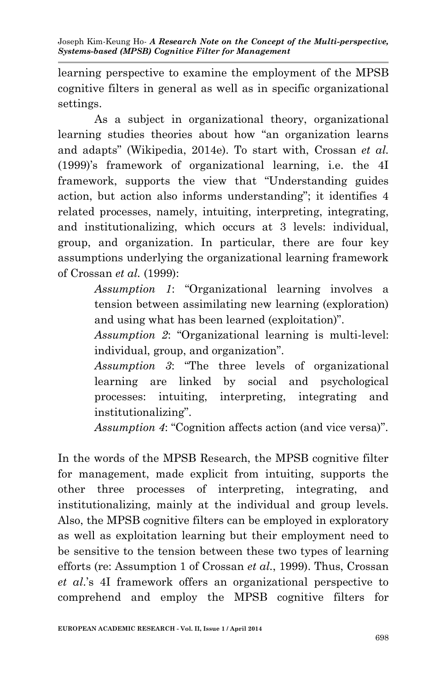learning perspective to examine the employment of the MPSB cognitive filters in general as well as in specific organizational settings.

As a subject in organizational theory, organizational learning studies theories about how "an organization learns and adapts" (Wikipedia, 2014e). To start with, Crossan *et al.* (1999)'s framework of organizational learning, i.e. the 4I framework, supports the view that "Understanding guides action, but action also informs understanding"; it identifies 4 related processes, namely, intuiting, interpreting, integrating, and institutionalizing, which occurs at 3 levels: individual, group, and organization. In particular, there are four key assumptions underlying the organizational learning framework of Crossan *et al.* (1999):

> *Assumption 1*: "Organizational learning involves a tension between assimilating new learning (exploration) and using what has been learned (exploitation)".

> *Assumption 2*: "Organizational learning is multi-level: individual, group, and organization".

> *Assumption 3*: "The three levels of organizational learning are linked by social and psychological processes: intuiting, interpreting, integrating and institutionalizing".

> *Assumption 4*: "Cognition affects action (and vice versa)".

In the words of the MPSB Research, the MPSB cognitive filter for management, made explicit from intuiting, supports the other three processes of interpreting, integrating, and institutionalizing, mainly at the individual and group levels. Also, the MPSB cognitive filters can be employed in exploratory as well as exploitation learning but their employment need to be sensitive to the tension between these two types of learning efforts (re: Assumption 1 of Crossan *et al.*, 1999). Thus, Crossan *et al*.'s 4I framework offers an organizational perspective to comprehend and employ the MPSB cognitive filters for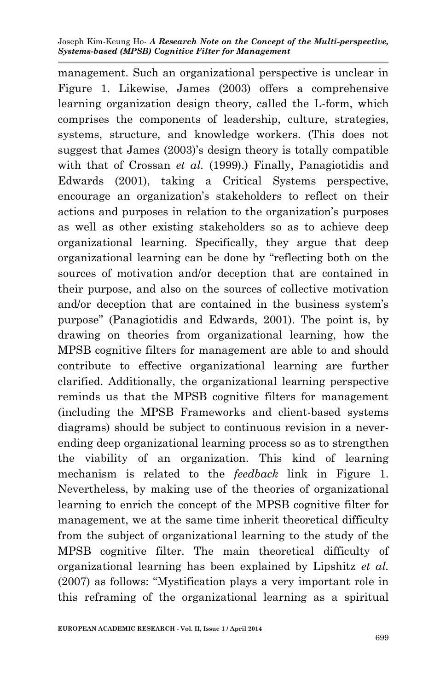management. Such an organizational perspective is unclear in Figure 1. Likewise, James (2003) offers a comprehensive learning organization design theory, called the L-form, which comprises the components of leadership, culture, strategies, systems, structure, and knowledge workers. (This does not suggest that James (2003)'s design theory is totally compatible with that of Crossan *et al.* (1999).) Finally, Panagiotidis and Edwards (2001), taking a Critical Systems perspective, encourage an organization's stakeholders to reflect on their actions and purposes in relation to the organization's purposes as well as other existing stakeholders so as to achieve deep organizational learning. Specifically, they argue that deep organizational learning can be done by "reflecting both on the sources of motivation and/or deception that are contained in their purpose, and also on the sources of collective motivation and/or deception that are contained in the business system's purpose" (Panagiotidis and Edwards, 2001). The point is, by drawing on theories from organizational learning, how the MPSB cognitive filters for management are able to and should contribute to effective organizational learning are further clarified. Additionally, the organizational learning perspective reminds us that the MPSB cognitive filters for management (including the MPSB Frameworks and client-based systems diagrams) should be subject to continuous revision in a neverending deep organizational learning process so as to strengthen the viability of an organization. This kind of learning mechanism is related to the *feedback* link in Figure 1. Nevertheless, by making use of the theories of organizational learning to enrich the concept of the MPSB cognitive filter for management, we at the same time inherit theoretical difficulty from the subject of organizational learning to the study of the MPSB cognitive filter. The main theoretical difficulty of organizational learning has been explained by Lipshitz *et al.* (2007) as follows: "Mystification plays a very important role in this reframing of the organizational learning as a spiritual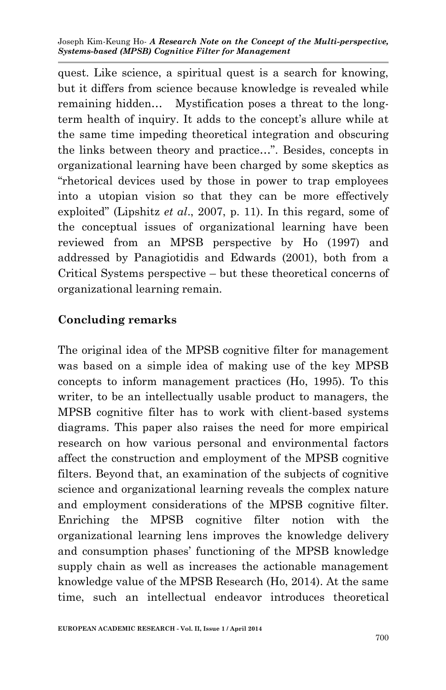quest. Like science, a spiritual quest is a search for knowing, but it differs from science because knowledge is revealed while remaining hidden… Mystification poses a threat to the longterm health of inquiry. It adds to the concept's allure while at the same time impeding theoretical integration and obscuring the links between theory and practice…". Besides, concepts in organizational learning have been charged by some skeptics as "rhetorical devices used by those in power to trap employees into a utopian vision so that they can be more effectively exploited" (Lipshitz *et al*., 2007, p. 11). In this regard, some of the conceptual issues of organizational learning have been reviewed from an MPSB perspective by Ho (1997) and addressed by Panagiotidis and Edwards (2001), both from a Critical Systems perspective – but these theoretical concerns of organizational learning remain.

### **Concluding remarks**

The original idea of the MPSB cognitive filter for management was based on a simple idea of making use of the key MPSB concepts to inform management practices (Ho, 1995). To this writer, to be an intellectually usable product to managers, the MPSB cognitive filter has to work with client-based systems diagrams. This paper also raises the need for more empirical research on how various personal and environmental factors affect the construction and employment of the MPSB cognitive filters. Beyond that, an examination of the subjects of cognitive science and organizational learning reveals the complex nature and employment considerations of the MPSB cognitive filter. Enriching the MPSB cognitive filter notion with the organizational learning lens improves the knowledge delivery and consumption phases' functioning of the MPSB knowledge supply chain as well as increases the actionable management knowledge value of the MPSB Research (Ho, 2014). At the same time, such an intellectual endeavor introduces theoretical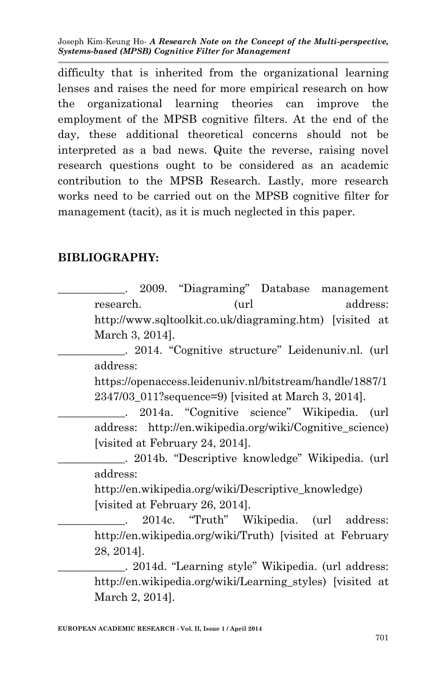difficulty that is inherited from the organizational learning lenses and raises the need for more empirical research on how the organizational learning theories can improve the employment of the MPSB cognitive filters. At the end of the day, these additional theoretical concerns should not be interpreted as a bad news. Quite the reverse, raising novel research questions ought to be considered as an academic contribution to the MPSB Research. Lastly, more research works need to be carried out on the MPSB cognitive filter for management (tacit), as it is much neglected in this paper.

### **BIBLIOGRAPHY:**

\_\_\_\_\_\_\_\_\_\_\_\_. 2009. "Diagraming" Database management research. (url address: http://www.sqltoolkit.co.uk/diagraming.htm) [visited at March 3, 2014].

\_\_\_\_\_\_\_\_\_\_\_\_. 2014. "Cognitive structure" Leidenuniv.nl. (url address:

https://openaccess.leidenuniv.nl/bitstream/handle/1887/1 2347/03\_011?sequence=9) [visited at March 3, 2014].

\_\_\_\_\_\_\_\_\_\_\_\_. 2014a. "Cognitive science" Wikipedia. (url address: http://en.wikipedia.org/wiki/Cognitive\_science) [visited at February 24, 2014].

\_\_\_\_\_\_\_\_\_\_\_\_. 2014b. "Descriptive knowledge" Wikipedia. (url address:

http://en.wikipedia.org/wiki/Descriptive\_knowledge) [visited at February 26, 2014].

\_\_\_\_\_\_\_\_\_\_\_\_. 2014c. "Truth" Wikipedia. (url address: http://en.wikipedia.org/wiki/Truth) [visited at February 28, 2014].

\_\_\_\_\_\_\_\_\_\_\_\_. 2014d. "Learning style" Wikipedia. (url address: http://en.wikipedia.org/wiki/Learning\_styles) [visited at March 2, 2014].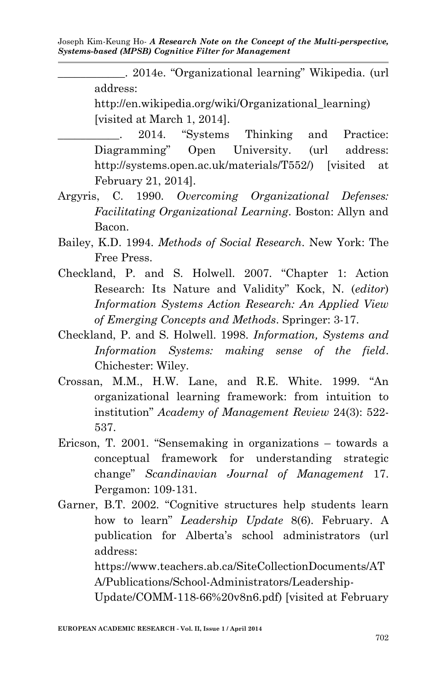\_\_\_\_\_\_\_\_\_\_\_\_. 2014e. "Organizational learning" Wikipedia. (url address: http://en.wikipedia.org/wiki/Organizational\_learning) [visited at March 1, 2014].

2014. "Systems Thinking and Practice: Diagramming" Open University. (url address: http://systems.open.ac.uk/materials/T552/) [visited at February 21, 2014].

- Argyris, C. 1990. *Overcoming Organizational Defenses: Facilitating Organizational Learning*. Boston: Allyn and Bacon.
- Bailey, K.D. 1994. *Methods of Social Research*. New York: The Free Press.
- Checkland, P. and S. Holwell. 2007. "Chapter 1: Action Research: Its Nature and Validity" Kock, N. (*editor*) *Information Systems Action Research: An Applied View of Emerging Concepts and Methods*. Springer: 3-17.
- Checkland, P. and S. Holwell. 1998. *Information, Systems and Information Systems: making sense of the field*. Chichester: Wiley.
- Crossan, M.M., H.W. Lane, and R.E. White. 1999. "An organizational learning framework: from intuition to institution" *Academy of Management Review* 24(3): 522- 537.
- Ericson, T. 2001. "Sensemaking in organizations towards a conceptual framework for understanding strategic change" *Scandinavian Journal of Management* 17. Pergamon: 109-131.

Garner, B.T. 2002. "Cognitive structures help students learn how to learn" *Leadership Update* 8(6). February. A publication for Alberta's school administrators (url address:

> https://www.teachers.ab.ca/SiteCollectionDocuments/AT A/Publications/School-Administrators/Leadership-

Update/COMM-118-66%20v8n6.pdf) [visited at February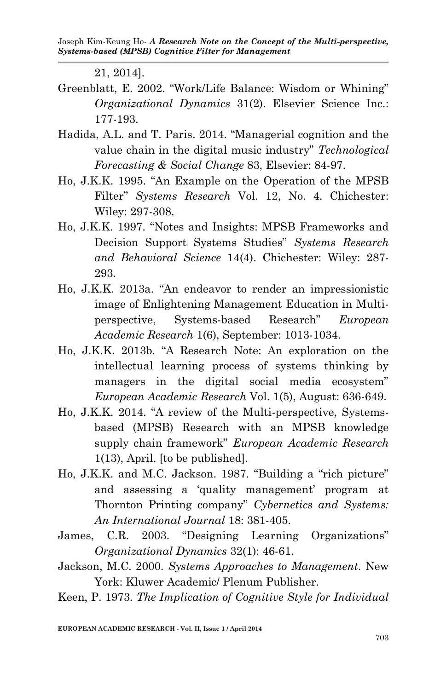21, 2014].

- Greenblatt, E. 2002. "Work/Life Balance: Wisdom or Whining" *Organizational Dynamics* 31(2). Elsevier Science Inc.: 177-193.
- Hadida, A.L. and T. Paris. 2014. "Managerial cognition and the value chain in the digital music industry" *Technological Forecasting & Social Change* 83, Elsevier: 84-97.
- Ho, J.K.K. 1995. "An Example on the Operation of the MPSB Filter" *Systems Research* Vol. 12, No. 4. Chichester: Wiley: 297-308.
- Ho, J.K.K. 1997. "Notes and Insights: MPSB Frameworks and Decision Support Systems Studies" *Systems Research and Behavioral Science* 14(4). Chichester: Wiley: 287- 293.
- Ho, J.K.K. 2013a. "An endeavor to render an impressionistic image of Enlightening Management Education in Multiperspective, Systems-based Research" *European Academic Research* 1(6), September: 1013-1034.
- Ho, J.K.K. 2013b. "A Research Note: An exploration on the intellectual learning process of systems thinking by managers in the digital social media ecosystem" *European Academic Research* Vol. 1(5), August: 636-649.
- Ho, J.K.K. 2014. "A review of the Multi-perspective, Systemsbased (MPSB) Research with an MPSB knowledge supply chain framework" *European Academic Research* 1(13), April. [to be published].
- Ho, J.K.K. and M.C. Jackson. 1987. "Building a "rich picture" and assessing a 'quality management' program at Thornton Printing company" *Cybernetics and Systems: An International Journal* 18: 381-405.
- James, C.R. 2003. "Designing Learning Organizations" *Organizational Dynamics* 32(1): 46-61.
- Jackson, M.C. 2000. *Systems Approaches to Management*. New York: Kluwer Academic/ Plenum Publisher.
- Keen, P. 1973. *The Implication of Cognitive Style for Individual*